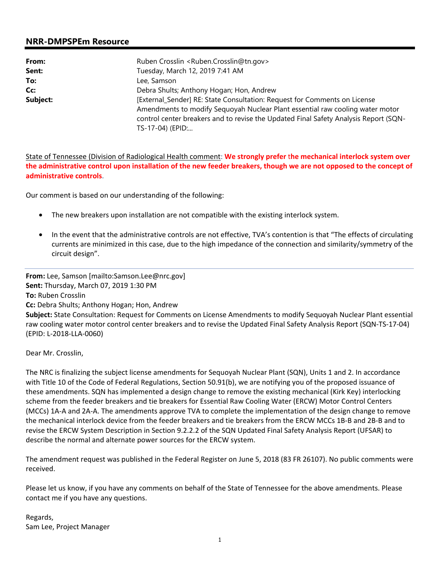## **NRR-DMPSPEm Resource**

| From:    | Ruben Crosslin <ruben.crosslin@tn.gov></ruben.crosslin@tn.gov>                                                                                                                            |  |  |
|----------|-------------------------------------------------------------------------------------------------------------------------------------------------------------------------------------------|--|--|
| Sent:    | Tuesday, March 12, 2019 7:41 AM                                                                                                                                                           |  |  |
| To:      | Lee, Samson                                                                                                                                                                               |  |  |
| Cc:      | Debra Shults; Anthony Hogan; Hon, Andrew                                                                                                                                                  |  |  |
| Subject: | [External_Sender] RE: State Consultation: Request for Comments on License                                                                                                                 |  |  |
|          | Amendments to modify Sequoyah Nuclear Plant essential raw cooling water motor<br>control center breakers and to revise the Updated Final Safety Analysis Report (SQN-<br>TS-17-04) (EPID: |  |  |

State of Tennessee (Division of Radiological Health comment: **We strongly prefer** t**he mechanical interlock system over the administrative control upon installation of the new feeder breakers, though we are not opposed to the concept of administrative controls**.

Our comment is based on our understanding of the following:

- The new breakers upon installation are not compatible with the existing interlock system.
- In the event that the administrative controls are not effective, TVA's contention is that "The effects of circulating currents are minimized in this case, due to the high impedance of the connection and similarity/symmetry of the circuit design".

**From:** Lee, Samson [mailto:Samson.Lee@nrc.gov] **Sent:** Thursday, March 07, 2019 1:30 PM **To:** Ruben Crosslin **Cc:** Debra Shults; Anthony Hogan; Hon, Andrew **Subject:** State Consultation: Request for Comments on License Amendments to modify Sequoyah Nuclear Plant essential raw cooling water motor control center breakers and to revise the Updated Final Safety Analysis Report (SQN-TS-17-04)

Dear Mr. Crosslin,

(EPID: L-2018-LLA-0060)

The NRC is finalizing the subject license amendments for Sequoyah Nuclear Plant (SQN), Units 1 and 2. In accordance with Title 10 of the Code of Federal Regulations, Section 50.91(b), we are notifying you of the proposed issuance of these amendments. SQN has implemented a design change to remove the existing mechanical (Kirk Key) interlocking scheme from the feeder breakers and tie breakers for Essential Raw Cooling Water (ERCW) Motor Control Centers (MCCs) 1A-A and 2A-A. The amendments approve TVA to complete the implementation of the design change to remove the mechanical interlock device from the feeder breakers and tie breakers from the ERCW MCCs 1B-B and 2B-B and to revise the ERCW System Description in Section 9.2.2.2 of the SQN Updated Final Safety Analysis Report (UFSAR) to describe the normal and alternate power sources for the ERCW system.

The amendment request was published in the Federal Register on June 5, 2018 (83 FR 26107). No public comments were received.

Please let us know, if you have any comments on behalf of the State of Tennessee for the above amendments. Please contact me if you have any questions.

Regards, Sam Lee, Project Manager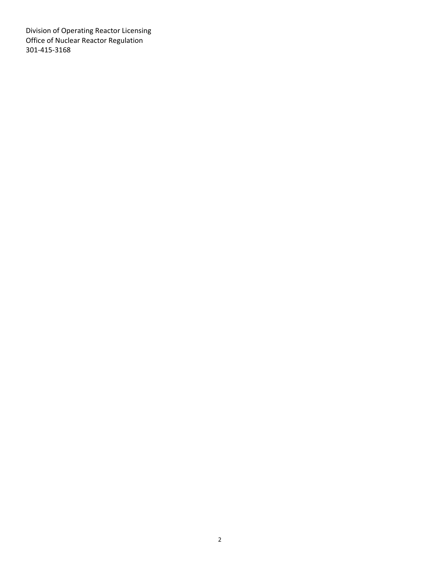Division of Operating Reactor Licensing Office of Nuclear Reactor Regulation 301-415-3168